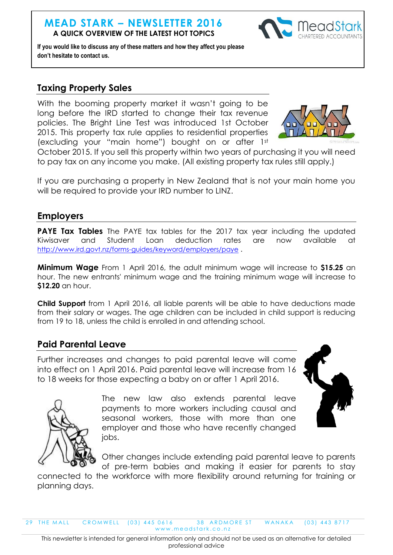#### **MEAD STARK – NEWSLETTER 2016 A QUICK OVERVIEW OF THE LATEST HOT TOPICS**



**If you would like to discuss any of these matters and how they affect you please don't hesitate to contact us.**

# **Taxing Property Sales**

With the booming property market it wasn't going to be long before the IRD started to change their tax revenue policies. The Bright Line Test was introduced 1st October 2015. This property tax rule applies to residential properties (excluding your "main home") bought on or after 1st



October 2015. If you sell this property within two years of purchasing it you will need to pay tax on any income you make. (All existing property tax rules still apply.)

If you are purchasing a property in New Zealand that is not your main home you will be required to provide your IRD number to LINZ.

### **Employers**

**PAYE Tax Tables** The PAYE tax tables for the 2017 tax year including the updated Kiwisaver and Student Loan deduction rates are now available at <http://www.ird.govt.nz/forms-guides/keyword/employers/paye> .

**Minimum Wage** From 1 April 2016, the adult minimum wage will increase to **\$15.25** an hour. The new entrants' minimum wage and the training minimum wage will increase to **\$12.20** an hour.

**Child Support** from 1 April 2016, all liable parents will be able to have deductions made from their salary or wages. The age children can be included in child support is reducing from 19 to 18, unless the child is enrolled in and attending school.

### **Paid Parental Leave**

Further increases and changes to paid parental leave will come into effect on 1 April 2016. Paid parental leave will increase from 16 to 18 weeks for those expecting a baby on or after 1 April 2016.



The new law also extends parental leave payments to more workers including causal and seasonal workers, those with more than one employer and those who have recently changed jobs.



Other changes include extending paid parental leave to parents of pre-term babies and making it easier for parents to stay

connected to the workforce with more flexibility around returning for training or planning days.

29 THE MALL CROMWELL (03) 445 0616 38 ARDMORE ST WANAKA (03) 443 8717 www.meadstark.co.nz

This newsletter is intended for general information only and should not be used as an alternative for detailed professional advice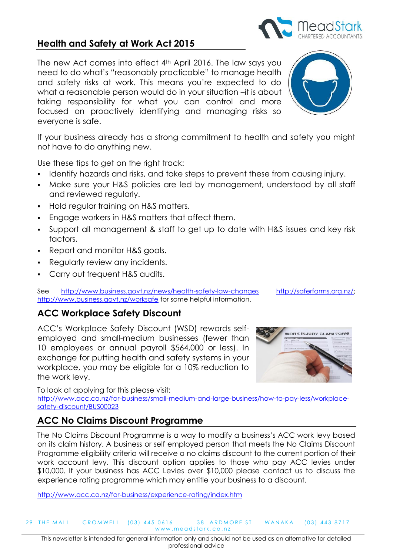# not have to do anything new.

Use these tips to get on the right track:

- I dentify hazards and risks, and take steps to prevent these from causing injury.
- Make sure your H&S policies are led by management, understood by all staff and reviewed regularly.

If your business already has a strong commitment to health and safety you might

- **Hold requiar training on H&S matters.**
- Engage workers in H&S matters that affect them.
- Support all management & staff to get up to date with H&S issues and key risk factors.
- Report and monitor H&S goals.
- Regularly review any incidents.
- Carry out frequent H&S audits.

See <http://www.business.govt.nz/news/health-safety-law-changes> [http://saferfarms.org.nz/;](http://saferfarms.org.nz/) <http://www.business.govt.nz/worksafe> for some helpful information.

# **ACC Workplace Safety Discount**

ACC's Workplace Safety Discount (WSD) rewards selfemployed and small-medium businesses (fewer than 10 employees or annual payroll \$564,000 or less). In exchange for putting health and safety systems in your workplace, you may be eligible for a 10% reduction to the work levy.

To look at applying for this please visit:

[http://www.acc.co.nz/for-business/small-medium-and-large-business/how-to-pay-less/workplace](http://www.acc.co.nz/for-business/small-medium-and-large-business/how-to-pay-less/workplace-safety-discount/BUS00023)[safety-discount/BUS00023](http://www.acc.co.nz/for-business/small-medium-and-large-business/how-to-pay-less/workplace-safety-discount/BUS00023)

# **ACC No Claims Discount Programme**

The No Claims Discount Programme is a way to modify a business's ACC work levy based on its claim history. A business or self employed person that meets the No Claims Discount Programme eligibility criteria will receive a no claims discount to the current portion of their work account levy. This discount option applies to those who pay ACC levies under \$10,000. If your business has ACC Levies over \$10,000 please contact us to discuss the experience rating programme which may entitle your business to a discount.

<http://www.acc.co.nz/for-business/experience-rating/index.htm>

29 THE MALL CROMWELL (03) 445 0616 38 ARDMORE ST WANAKA (03) 443 8717 www.meadstark.co.nz

This newsletter is intended for general information only and should not be used as an alternative for detailed professional advice

# **Health and Safety at Work Act 2015**

The new Act comes into effect 4th April 2016. The law says you need to do what's "reasonably practicable" to manage health and safety risks at work. This means you're expected to do what a reasonable person would do in your situation –it is about taking responsibility for what you can control and more focused on proactively identifying and managing risks so everyone is safe.





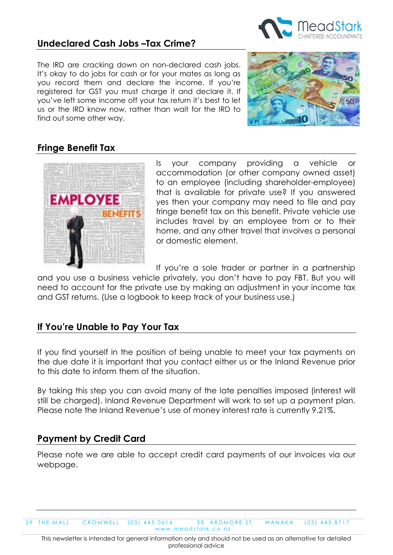## **Undeclared Cash Jobs –Tax Crime?**

The IRD are cracking down on non-declared cash jobs. It's okay to do jobs for cash or for your mates as long as you record them and declare the income. If you're registered for GST you must charge it and declare it. If you've left some income off your tax return it's best to let us or the IRD know now, rather than wait for the IRD to find out some other way.



Ξ

# **Fringe Benefit Tax**



Is your company providing a vehicle or accommodation (or other company owned asset) to an employee (including shareholder-employee) that is available for private use? If you answered yes then your company may need to file and pay fringe benefit tax on this benefit. Private vehicle use includes travel by an employee from or to their home, and any other travel that involves a personal or domestic element.

If you're a sole trader or partner in a partnership

and you use a business vehicle privately, you don't have to pay FBT. But you will need to account for the private use by making an adjustment in your income tax and GST returns. (Use a logbook to keep track of your business use.)

# **If You're Unable to Pay Your Tax**

If you find yourself in the position of being unable to meet your tax payments on the due date it is important that you contact either us or the Inland Revenue prior to this date to inform them of the situation.

By taking this step you can avoid many of the late penalties imposed (interest will still be charged). Inland Revenue Department will work to set up a payment plan. Please note the Inland Revenue's use of money interest rate is currently 9.21%.

# **Payment by Credit Card**

Please note we are able to accept credit card payments of our invoices via our webpage.

29 THE MALL CROMWELL (03) 445 0616 38 ARDMORE ST WANAKA (03) 443 8717 www.meadstark.co.nz